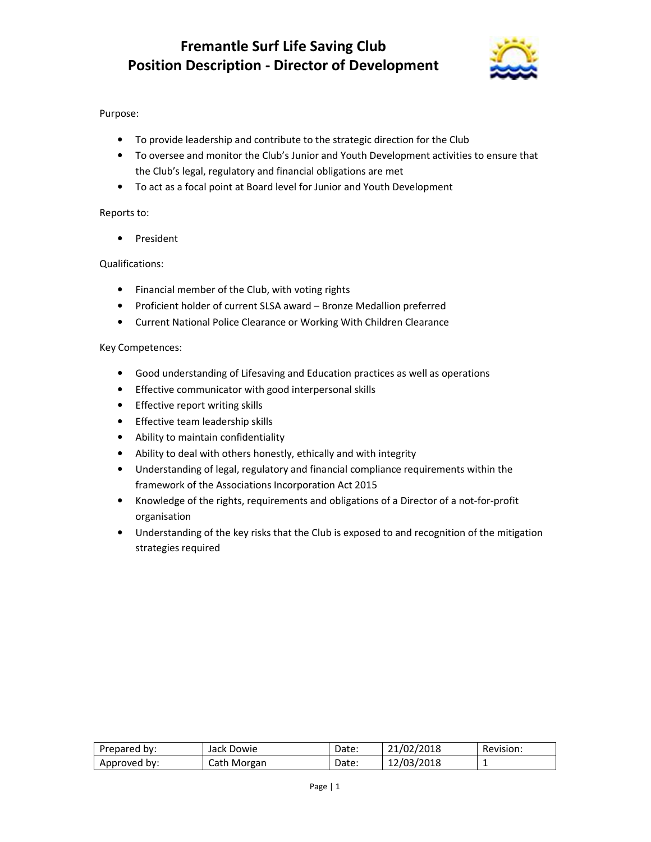# **Fremantle Surf Life Saving Club Position Description - Director of Development**



## Purpose:

- To provide leadership and contribute to the strategic direction for the Club
- To oversee and monitor the Club's Junior and Youth Development activities to ensure that the Club's legal, regulatory and financial obligations are met
- To act as a focal point at Board level for Junior and Youth Development

#### Reports to:

• President

### Qualifications:

- Financial member of the Club, with voting rights
- Proficient holder of current SLSA award Bronze Medallion preferred
- Current National Police Clearance or Working With Children Clearance

#### Key Competences:

- Good understanding of Lifesaving and Education practices as well as operations
- Effective communicator with good interpersonal skills
- Effective report writing skills
- Effective team leadership skills
- Ability to maintain confidentiality
- Ability to deal with others honestly, ethically and with integrity
- Understanding of legal, regulatory and financial compliance requirements within the framework of the Associations Incorporation Act 2015
- Knowledge of the rights, requirements and obligations of a Director of a not-for-profit organisation
- Understanding of the key risks that the Club is exposed to and recognition of the mitigation strategies required

| Prepared by: | Jack Dowie  | Date: | 21/02/2018 | Revision: |
|--------------|-------------|-------|------------|-----------|
| Approved by: | Cath Morgan | Date: | 12/03/2018 |           |